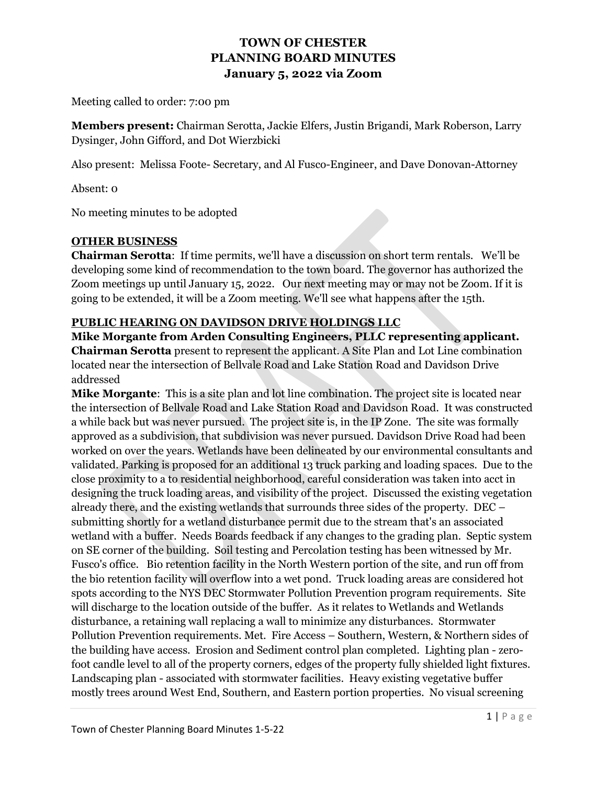Meeting called to order: 7:00 pm

**Members present:** Chairman Serotta, Jackie Elfers, Justin Brigandi, Mark Roberson, Larry Dysinger, John Gifford, and Dot Wierzbicki

Also present: Melissa Foote- Secretary, and Al Fusco-Engineer, and Dave Donovan-Attorney

Absent: 0

No meeting minutes to be adopted

### **OTHER BUSINESS**

**Chairman Serotta**: If time permits, we'll have a discussion on short term rentals. We'll be developing some kind of recommendation to the town board. The governor has authorized the Zoom meetings up until January 15, 2022. Our next meeting may or may not be Zoom. If it is going to be extended, it will be a Zoom meeting. We'll see what happens after the 15th.

### **PUBLIC HEARING ON DAVIDSON DRIVE HOLDINGS LLC**

**Mike Morgante from Arden Consulting Engineers, PLLC representing applicant. Chairman Serotta** present to represent the applicant. A Site Plan and Lot Line combination located near the intersection of Bellvale Road and Lake Station Road and Davidson Drive addressed

**Mike Morgante**: This is a site plan and lot line combination. The project site is located near the intersection of Bellvale Road and Lake Station Road and Davidson Road. It was constructed a while back but was never pursued. The project site is, in the IP Zone. The site was formally approved as a subdivision, that subdivision was never pursued. Davidson Drive Road had been worked on over the years. Wetlands have been delineated by our environmental consultants and validated. Parking is proposed for an additional 13 truck parking and loading spaces. Due to the close proximity to a to residential neighborhood, careful consideration was taken into acct in designing the truck loading areas, and visibility of the project. Discussed the existing vegetation already there, and the existing wetlands that surrounds three sides of the property. DEC – submitting shortly for a wetland disturbance permit due to the stream that's an associated wetland with a buffer. Needs Boards feedback if any changes to the grading plan. Septic system on SE corner of the building. Soil testing and Percolation testing has been witnessed by Mr. Fusco's office. Bio retention facility in the North Western portion of the site, and run off from the bio retention facility will overflow into a wet pond. Truck loading areas are considered hot spots according to the NYS DEC Stormwater Pollution Prevention program requirements. Site will discharge to the location outside of the buffer. As it relates to Wetlands and Wetlands disturbance, a retaining wall replacing a wall to minimize any disturbances. Stormwater Pollution Prevention requirements. Met. Fire Access – Southern, Western, & Northern sides of the building have access. Erosion and Sediment control plan completed. Lighting plan - zerofoot candle level to all of the property corners, edges of the property fully shielded light fixtures. Landscaping plan - associated with stormwater facilities. Heavy existing vegetative buffer mostly trees around West End, Southern, and Eastern portion properties. No visual screening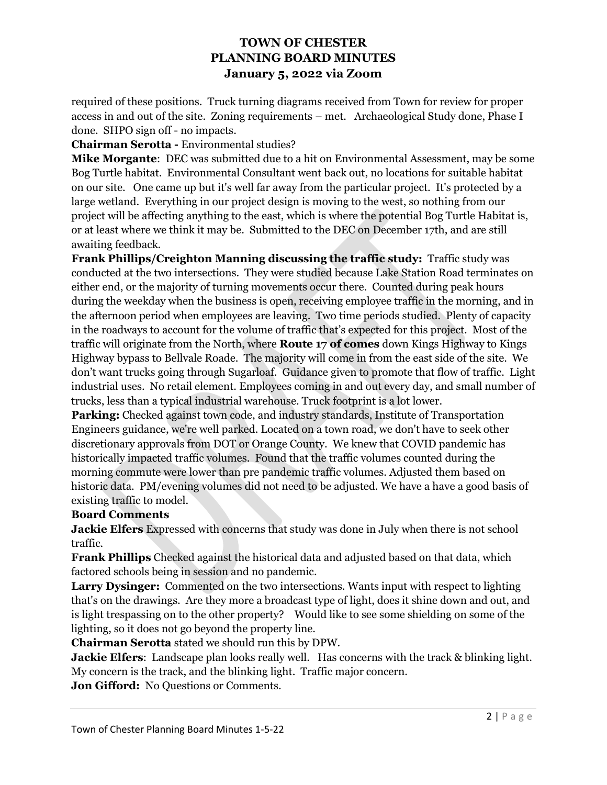required of these positions. Truck turning diagrams received from Town for review for proper access in and out of the site. Zoning requirements – met. Archaeological Study done, Phase I done. SHPO sign off - no impacts.

### **Chairman Serotta -** Environmental studies?

**Mike Morgante**: DEC was submitted due to a hit on Environmental Assessment, may be some Bog Turtle habitat. Environmental Consultant went back out, no locations for suitable habitat on our site. One came up but it's well far away from the particular project. It's protected by a large wetland. Everything in our project design is moving to the west, so nothing from our project will be affecting anything to the east, which is where the potential Bog Turtle Habitat is, or at least where we think it may be. Submitted to the DEC on December 17th, and are still awaiting feedback.

**Frank Phillips/Creighton Manning discussing the traffic study:** Traffic study was conducted at the two intersections. They were studied because Lake Station Road terminates on either end, or the majority of turning movements occur there. Counted during peak hours during the weekday when the business is open, receiving employee traffic in the morning, and in the afternoon period when employees are leaving. Two time periods studied. Plenty of capacity in the roadways to account for the volume of traffic that's expected for this project. Most of the traffic will originate from the North, where **Route 17 of comes** down Kings Highway to Kings Highway bypass to Bellvale Roade. The majority will come in from the east side of the site. We don't want trucks going through Sugarloaf. Guidance given to promote that flow of traffic. Light industrial uses. No retail element. Employees coming in and out every day, and small number of trucks, less than a typical industrial warehouse. Truck footprint is a lot lower.

**Parking:** Checked against town code, and industry standards, Institute of Transportation Engineers guidance, we're well parked. Located on a town road, we don't have to seek other discretionary approvals from DOT or Orange County. We knew that COVID pandemic has historically impacted traffic volumes. Found that the traffic volumes counted during the morning commute were lower than pre pandemic traffic volumes. Adjusted them based on historic data. PM/evening volumes did not need to be adjusted. We have a have a good basis of existing traffic to model.

### **Board Comments**

**Jackie Elfers** Expressed with concerns that study was done in July when there is not school traffic.

**Frank Phillips** Checked against the historical data and adjusted based on that data, which factored schools being in session and no pandemic.

**Larry Dysinger:** Commented on the two intersections. Wants input with respect to lighting that's on the drawings. Are they more a broadcast type of light, does it shine down and out, and is light trespassing on to the other property? Would like to see some shielding on some of the lighting, so it does not go beyond the property line.

**Chairman Serotta** stated we should run this by DPW.

**Jackie Elfers**: Landscape plan looks really well. Has concerns with the track & blinking light. My concern is the track, and the blinking light. Traffic major concern.

**Jon Gifford:** No Questions or Comments.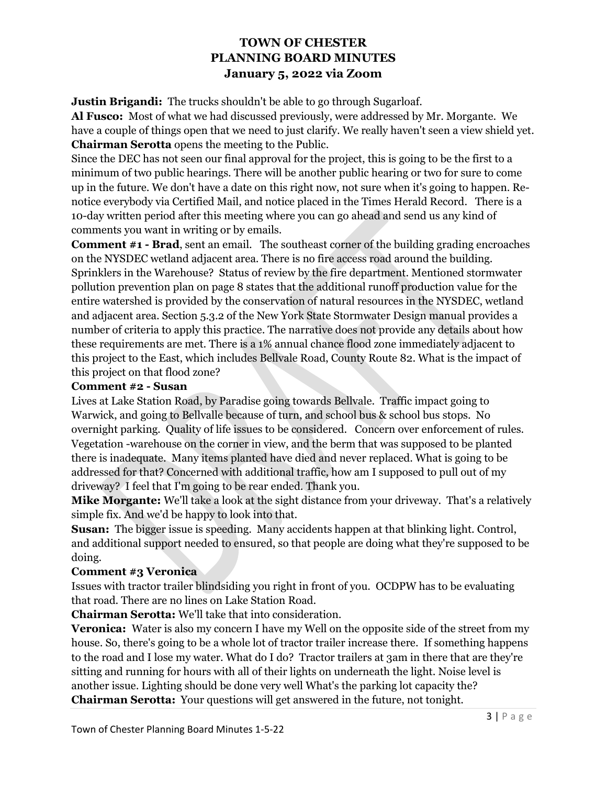**Justin Brigandi:** The trucks shouldn't be able to go through Sugarloaf.

**Al Fusco:** Most of what we had discussed previously, were addressed by Mr. Morgante. We have a couple of things open that we need to just clarify. We really haven't seen a view shield yet. **Chairman Serotta** opens the meeting to the Public.

Since the DEC has not seen our final approval for the project, this is going to be the first to a minimum of two public hearings. There will be another public hearing or two for sure to come up in the future. We don't have a date on this right now, not sure when it's going to happen. Renotice everybody via Certified Mail, and notice placed in the Times Herald Record. There is a 10-day written period after this meeting where you can go ahead and send us any kind of comments you want in writing or by emails.

**Comment #1 - Brad**, sent an email. The southeast corner of the building grading encroaches on the NYSDEC wetland adjacent area. There is no fire access road around the building. Sprinklers in the Warehouse? Status of review by the fire department. Mentioned stormwater pollution prevention plan on page 8 states that the additional runoff production value for the entire watershed is provided by the conservation of natural resources in the NYSDEC, wetland and adjacent area. Section 5.3.2 of the New York State Stormwater Design manual provides a number of criteria to apply this practice. The narrative does not provide any details about how these requirements are met. There is a 1% annual chance flood zone immediately adjacent to this project to the East, which includes Bellvale Road, County Route 82. What is the impact of this project on that flood zone?

### **Comment #2 - Susan**

Lives at Lake Station Road, by Paradise going towards Bellvale. Traffic impact going to Warwick, and going to Bellvalle because of turn, and school bus & school bus stops. No overnight parking. Quality of life issues to be considered. Concern over enforcement of rules. Vegetation -warehouse on the corner in view, and the berm that was supposed to be planted there is inadequate. Many items planted have died and never replaced. What is going to be addressed for that? Concerned with additional traffic, how am I supposed to pull out of my driveway? I feel that I'm going to be rear ended. Thank you.

**Mike Morgante:** We'll take a look at the sight distance from your driveway. That's a relatively simple fix. And we'd be happy to look into that.

**Susan:** The bigger issue is speeding. Many accidents happen at that blinking light. Control, and additional support needed to ensured, so that people are doing what they're supposed to be doing.

## **Comment #3 Veronica**

Issues with tractor trailer blindsiding you right in front of you. OCDPW has to be evaluating that road. There are no lines on Lake Station Road.

**Chairman Serotta:** We'll take that into consideration.

**Veronica:** Water is also my concern I have my Well on the opposite side of the street from my house. So, there's going to be a whole lot of tractor trailer increase there. If something happens to the road and I lose my water. What do I do? Tractor trailers at 3am in there that are they're sitting and running for hours with all of their lights on underneath the light. Noise level is another issue. Lighting should be done very well What's the parking lot capacity the? **Chairman Serotta:** Your questions will get answered in the future, not tonight.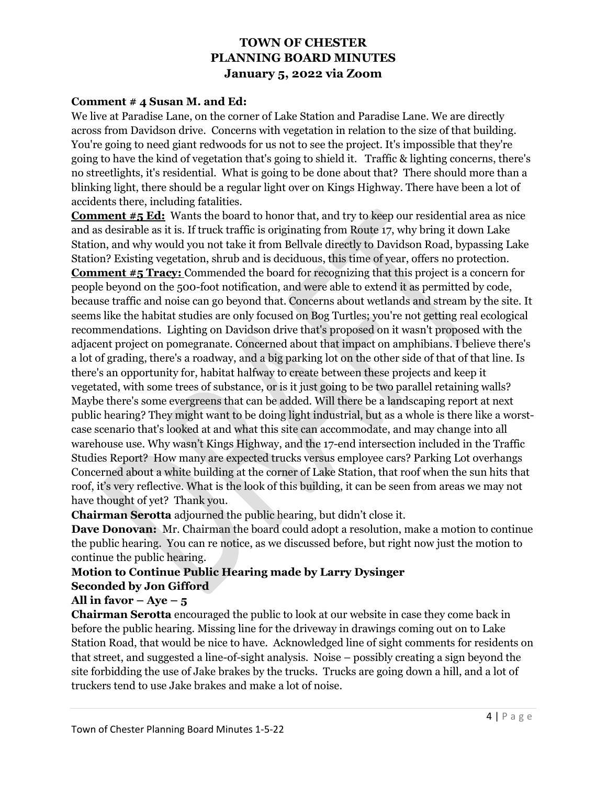### **Comment # 4 Susan M. and Ed:**

We live at Paradise Lane, on the corner of Lake Station and Paradise Lane. We are directly across from Davidson drive. Concerns with vegetation in relation to the size of that building. You're going to need giant redwoods for us not to see the project. It's impossible that they're going to have the kind of vegetation that's going to shield it. Traffic & lighting concerns, there's no streetlights, it's residential. What is going to be done about that? There should more than a blinking light, there should be a regular light over on Kings Highway. There have been a lot of accidents there, including fatalities.

**Comment #5 Ed:** Wants the board to honor that, and try to keep our residential area as nice and as desirable as it is. If truck traffic is originating from Route 17, why bring it down Lake Station, and why would you not take it from Bellvale directly to Davidson Road, bypassing Lake Station? Existing vegetation, shrub and is deciduous, this time of year, offers no protection. **Comment #5 Tracy:** Commended the board for recognizing that this project is a concern for people beyond on the 500-foot notification, and were able to extend it as permitted by code, because traffic and noise can go beyond that. Concerns about wetlands and stream by the site. It seems like the habitat studies are only focused on Bog Turtles; you're not getting real ecological recommendations. Lighting on Davidson drive that's proposed on it wasn't proposed with the adjacent project on pomegranate. Concerned about that impact on amphibians. I believe there's a lot of grading, there's a roadway, and a big parking lot on the other side of that of that line. Is there's an opportunity for, habitat halfway to create between these projects and keep it vegetated, with some trees of substance, or is it just going to be two parallel retaining walls? Maybe there's some evergreens that can be added. Will there be a landscaping report at next public hearing? They might want to be doing light industrial, but as a whole is there like a worstcase scenario that's looked at and what this site can accommodate, and may change into all warehouse use. Why wasn't Kings Highway, and the 17-end intersection included in the Traffic Studies Report? How many are expected trucks versus employee cars? Parking Lot overhangs Concerned about a white building at the corner of Lake Station, that roof when the sun hits that roof, it's very reflective. What is the look of this building, it can be seen from areas we may not have thought of yet? Thank you.

**Chairman Serotta** adjourned the public hearing, but didn't close it.

**Dave Donovan:** Mr. Chairman the board could adopt a resolution, make a motion to continue the public hearing. You can re notice, as we discussed before, but right now just the motion to continue the public hearing.

## **Motion to Continue Public Hearing made by Larry Dysinger Seconded by Jon Gifford**

## All in favor  $-Aye-5$

**Chairman Serotta** encouraged the public to look at our website in case they come back in before the public hearing. Missing line for the driveway in drawings coming out on to Lake Station Road, that would be nice to have. Acknowledged line of sight comments for residents on that street, and suggested a line-of-sight analysis. Noise – possibly creating a sign beyond the site forbidding the use of Jake brakes by the trucks. Trucks are going down a hill, and a lot of truckers tend to use Jake brakes and make a lot of noise.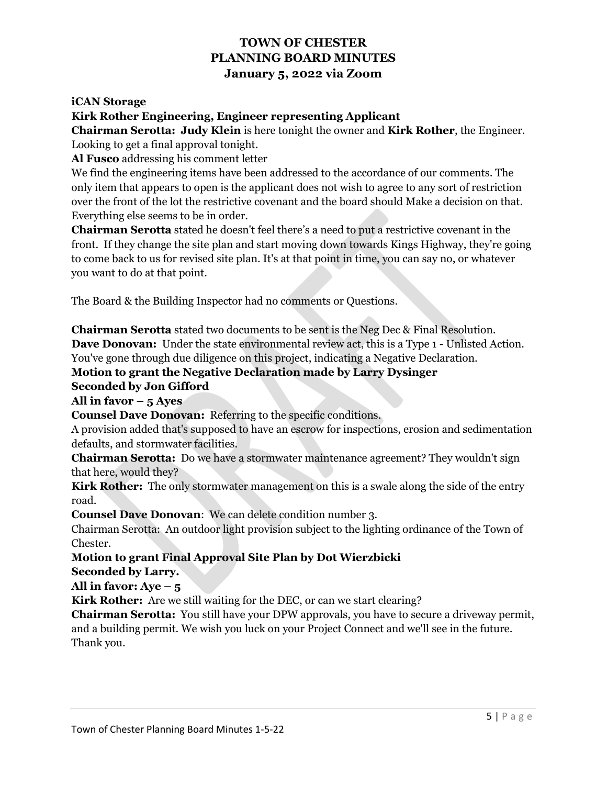### **iCAN Storage**

### **Kirk Rother Engineering, Engineer representing Applicant**

**Chairman Serotta: Judy Klein** is here tonight the owner and **Kirk Rother**, the Engineer. Looking to get a final approval tonight.

**Al Fusco** addressing his comment letter

We find the engineering items have been addressed to the accordance of our comments. The only item that appears to open is the applicant does not wish to agree to any sort of restriction over the front of the lot the restrictive covenant and the board should Make a decision on that. Everything else seems to be in order.

**Chairman Serotta** stated he doesn't feel there's a need to put a restrictive covenant in the front. If they change the site plan and start moving down towards Kings Highway, they're going to come back to us for revised site plan. It's at that point in time, you can say no, or whatever you want to do at that point.

The Board & the Building Inspector had no comments or Questions.

**Chairman Serotta** stated two documents to be sent is the Neg Dec & Final Resolution. **Dave Donovan:** Under the state environmental review act, this is a Type 1 - Unlisted Action. You've gone through due diligence on this project, indicating a Negative Declaration.

**Motion to grant the Negative Declaration made by Larry Dysinger**

### **Seconded by Jon Gifford**

**All in favor – 5 Ayes** 

**Counsel Dave Donovan:** Referring to the specific conditions.

A provision added that's supposed to have an escrow for inspections, erosion and sedimentation defaults, and stormwater facilities.

**Chairman Serotta:** Do we have a stormwater maintenance agreement? They wouldn't sign that here, would they?

**Kirk Rother:** The only stormwater management on this is a swale along the side of the entry road.

**Counsel Dave Donovan**: We can delete condition number 3.

Chairman Serotta: An outdoor light provision subject to the lighting ordinance of the Town of Chester.

# **Motion to grant Final Approval Site Plan by Dot Wierzbicki**

### **Seconded by Larry.**

**All in favor: Aye – 5** 

**Kirk Rother:** Are we still waiting for the DEC, or can we start clearing?

**Chairman Serotta:** You still have your DPW approvals, you have to secure a driveway permit, and a building permit. We wish you luck on your Project Connect and we'll see in the future. Thank you.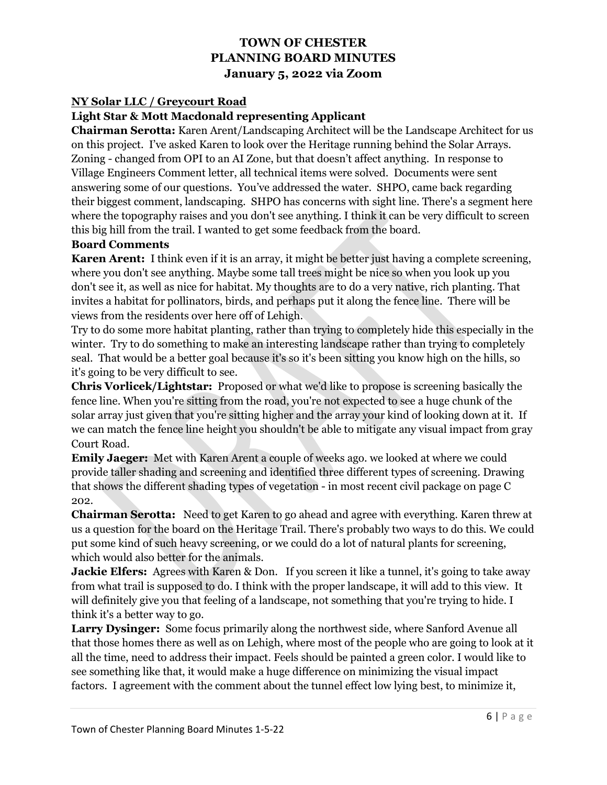### **NY Solar LLC / Greycourt Road**

### **Light Star & Mott Macdonald representing Applicant**

**Chairman Serotta:** Karen Arent/Landscaping Architect will be the Landscape Architect for us on this project. I've asked Karen to look over the Heritage running behind the Solar Arrays. Zoning - changed from OPI to an AI Zone, but that doesn't affect anything. In response to Village Engineers Comment letter, all technical items were solved. Documents were sent answering some of our questions. You've addressed the water. SHPO, came back regarding their biggest comment, landscaping. SHPO has concerns with sight line. There's a segment here where the topography raises and you don't see anything. I think it can be very difficult to screen this big hill from the trail. I wanted to get some feedback from the board.

### **Board Comments**

**Karen Arent:** I think even if it is an array, it might be better just having a complete screening, where you don't see anything. Maybe some tall trees might be nice so when you look up you don't see it, as well as nice for habitat. My thoughts are to do a very native, rich planting. That invites a habitat for pollinators, birds, and perhaps put it along the fence line. There will be views from the residents over here off of Lehigh.

Try to do some more habitat planting, rather than trying to completely hide this especially in the winter. Try to do something to make an interesting landscape rather than trying to completely seal. That would be a better goal because it's so it's been sitting you know high on the hills, so it's going to be very difficult to see.

**Chris Vorlicek/Lightstar:** Proposed or what we'd like to propose is screening basically the fence line. When you're sitting from the road, you're not expected to see a huge chunk of the solar array just given that you're sitting higher and the array your kind of looking down at it. If we can match the fence line height you shouldn't be able to mitigate any visual impact from gray Court Road.

**Emily Jaeger:** Met with Karen Arent a couple of weeks ago. we looked at where we could provide taller shading and screening and identified three different types of screening. Drawing that shows the different shading types of vegetation - in most recent civil package on page C 202.

**Chairman Serotta:** Need to get Karen to go ahead and agree with everything. Karen threw at us a question for the board on the Heritage Trail. There's probably two ways to do this. We could put some kind of such heavy screening, or we could do a lot of natural plants for screening, which would also better for the animals.

**Jackie Elfers:** Agrees with Karen & Don. If you screen it like a tunnel, it's going to take away from what trail is supposed to do. I think with the proper landscape, it will add to this view. It will definitely give you that feeling of a landscape, not something that you're trying to hide. I think it's a better way to go.

**Larry Dysinger:** Some focus primarily along the northwest side, where Sanford Avenue all that those homes there as well as on Lehigh, where most of the people who are going to look at it all the time, need to address their impact. Feels should be painted a green color. I would like to see something like that, it would make a huge difference on minimizing the visual impact factors. I agreement with the comment about the tunnel effect low lying best, to minimize it,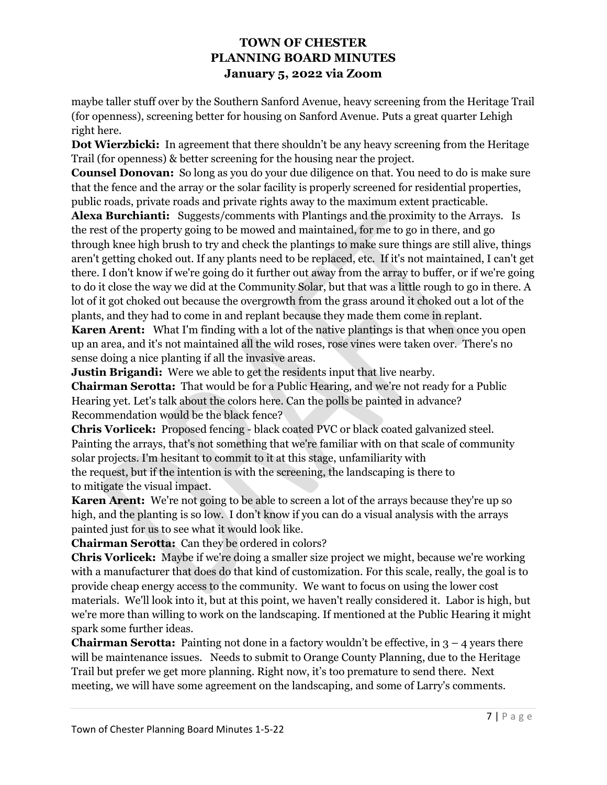maybe taller stuff over by the Southern Sanford Avenue, heavy screening from the Heritage Trail (for openness), screening better for housing on Sanford Avenue. Puts a great quarter Lehigh right here.

**Dot Wierzbicki:** In agreement that there shouldn't be any heavy screening from the Heritage Trail (for openness) & better screening for the housing near the project.

**Counsel Donovan:** So long as you do your due diligence on that. You need to do is make sure that the fence and the array or the solar facility is properly screened for residential properties, public roads, private roads and private rights away to the maximum extent practicable.

**Alexa Burchianti:** Suggests/comments with Plantings and the proximity to the Arrays. Is the rest of the property going to be mowed and maintained, for me to go in there, and go through knee high brush to try and check the plantings to make sure things are still alive, things aren't getting choked out. If any plants need to be replaced, etc. If it's not maintained, I can't get there. I don't know if we're going do it further out away from the array to buffer, or if we're going to do it close the way we did at the Community Solar, but that was a little rough to go in there. A lot of it got choked out because the overgrowth from the grass around it choked out a lot of the plants, and they had to come in and replant because they made them come in replant.

**Karen Arent:** What I'm finding with a lot of the native plantings is that when once you open up an area, and it's not maintained all the wild roses, rose vines were taken over. There's no sense doing a nice planting if all the invasive areas.

**Justin Brigandi:** Were we able to get the residents input that live nearby.

**Chairman Serotta:** That would be for a Public Hearing, and we're not ready for a Public Hearing yet. Let's talk about the colors here. Can the polls be painted in advance? Recommendation would be the black fence?

**Chris Vorlicek:** Proposed fencing - black coated PVC or black coated galvanized steel. Painting the arrays, that's not something that we're familiar with on that scale of community solar projects. I'm hesitant to commit to it at this stage, unfamiliarity with the request, but if the intention is with the screening, the landscaping is there to to mitigate the visual impact.

**Karen Arent:** We're not going to be able to screen a lot of the arrays because they're up so high, and the planting is so low. I don't know if you can do a visual analysis with the arrays painted just for us to see what it would look like.

**Chairman Serotta:** Can they be ordered in colors?

**Chris Vorlicek:** Maybe if we're doing a smaller size project we might, because we're working with a manufacturer that does do that kind of customization. For this scale, really, the goal is to provide cheap energy access to the community. We want to focus on using the lower cost materials. We'll look into it, but at this point, we haven't really considered it. Labor is high, but we're more than willing to work on the landscaping. If mentioned at the Public Hearing it might spark some further ideas.

**Chairman Serotta:** Painting not done in a factory wouldn't be effective, in  $3 - 4$  years there will be maintenance issues. Needs to submit to Orange County Planning, due to the Heritage Trail but prefer we get more planning. Right now, it's too premature to send there. Next meeting, we will have some agreement on the landscaping, and some of Larry's comments.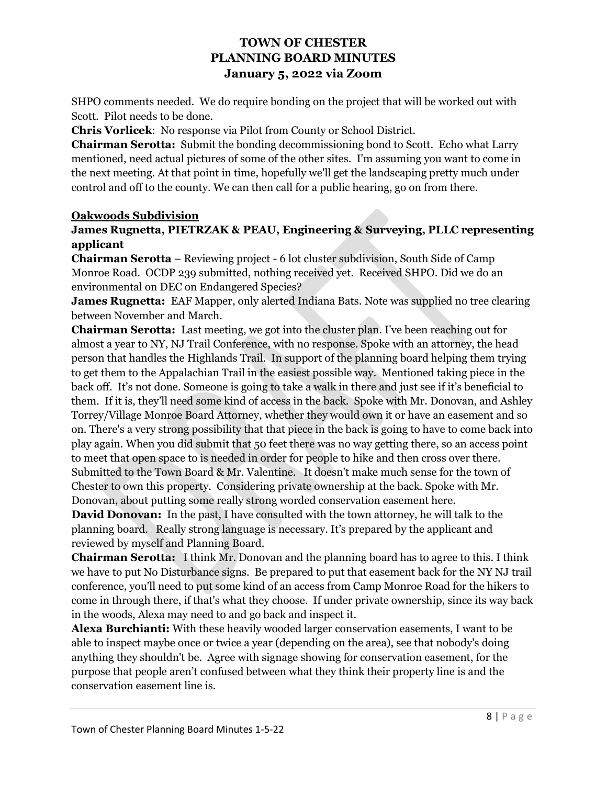SHPO comments needed. We do require bonding on the project that will be worked out with Scott. Pilot needs to be done.

**Chris Vorlicek**: No response via Pilot from County or School District.

**Chairman Serotta:** Submit the bonding decommissioning bond to Scott. Echo what Larry mentioned, need actual pictures of some of the other sites. I'm assuming you want to come in the next meeting. At that point in time, hopefully we'll get the landscaping pretty much under control and off to the county. We can then call for a public hearing, go on from there.

## **Oakwoods Subdivision**

## **James Rugnetta, PIETRZAK & PEAU, Engineering & Surveying, PLLC representing applicant**

**Chairman Serotta** – Reviewing project - 6 lot cluster subdivision, South Side of Camp Monroe Road. OCDP 239 submitted, nothing received yet. Received SHPO. Did we do an environmental on DEC on Endangered Species?

**James Rugnetta:** EAF Mapper, only alerted Indiana Bats. Note was supplied no tree clearing between November and March.

**Chairman Serotta:** Last meeting, we got into the cluster plan. I've been reaching out for almost a year to NY, NJ Trail Conference, with no response. Spoke with an attorney, the head person that handles the Highlands Trail. In support of the planning board helping them trying to get them to the Appalachian Trail in the easiest possible way. Mentioned taking piece in the back off. It's not done. Someone is going to take a walk in there and just see if it's beneficial to them. If it is, they'll need some kind of access in the back. Spoke with Mr. Donovan, and Ashley Torrey/Village Monroe Board Attorney, whether they would own it or have an easement and so on. There's a very strong possibility that that piece in the back is going to have to come back into play again. When you did submit that 50 feet there was no way getting there, so an access point to meet that open space to is needed in order for people to hike and then cross over there. Submitted to the Town Board & Mr. Valentine. It doesn't make much sense for the town of Chester to own this property. Considering private ownership at the back. Spoke with Mr. Donovan, about putting some really strong worded conservation easement here.

**David Donovan:** In the past, I have consulted with the town attorney, he will talk to the planning board. Really strong language is necessary. It's prepared by the applicant and reviewed by myself and Planning Board.

**Chairman Serotta:** I think Mr. Donovan and the planning board has to agree to this. I think we have to put No Disturbance signs. Be prepared to put that easement back for the NY NJ trail conference, you'll need to put some kind of an access from Camp Monroe Road for the hikers to come in through there, if that's what they choose. If under private ownership, since its way back in the woods, Alexa may need to and go back and inspect it.

**Alexa Burchianti:** With these heavily wooded larger conservation easements, I want to be able to inspect maybe once or twice a year (depending on the area), see that nobody's doing anything they shouldn't be. Agree with signage showing for conservation easement, for the purpose that people aren't confused between what they think their property line is and the conservation easement line is.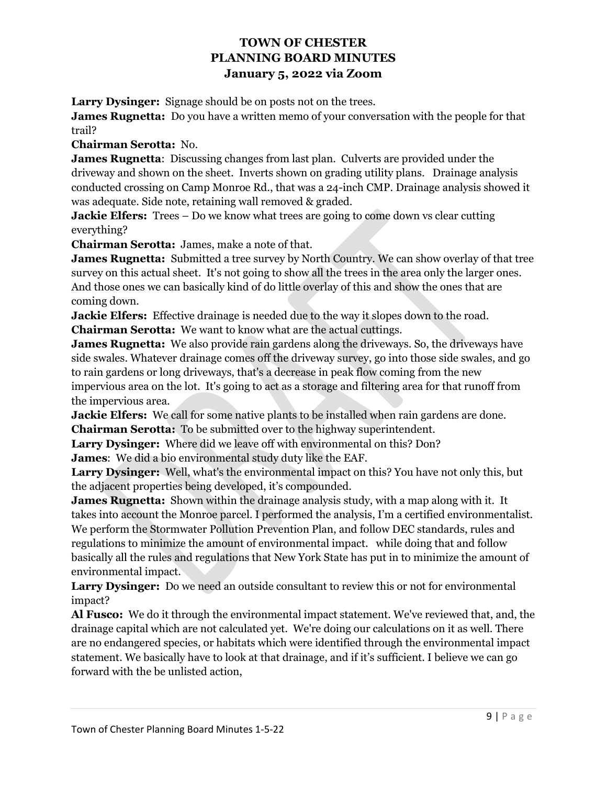**Larry Dysinger:** Signage should be on posts not on the trees.

**James Rugnetta:** Do you have a written memo of your conversation with the people for that trail?

**Chairman Serotta:** No.

**James Rugnetta**: Discussing changes from last plan. Culverts are provided under the driveway and shown on the sheet. Inverts shown on grading utility plans. Drainage analysis conducted crossing on Camp Monroe Rd., that was a 24-inch CMP. Drainage analysis showed it was adequate. Side note, retaining wall removed & graded.

**Jackie Elfers:** Trees – Do we know what trees are going to come down vs clear cutting everything?

**Chairman Serotta:** James, make a note of that.

**James Rugnetta:** Submitted a tree survey by North Country. We can show overlay of that tree survey on this actual sheet. It's not going to show all the trees in the area only the larger ones. And those ones we can basically kind of do little overlay of this and show the ones that are coming down.

**Jackie Elfers:** Effective drainage is needed due to the way it slopes down to the road. **Chairman Serotta:** We want to know what are the actual cuttings.

**James Rugnetta:** We also provide rain gardens along the driveways. So, the driveways have side swales. Whatever drainage comes off the driveway survey, go into those side swales, and go to rain gardens or long driveways, that's a decrease in peak flow coming from the new impervious area on the lot. It's going to act as a storage and filtering area for that runoff from the impervious area.

**Jackie Elfers:** We call for some native plants to be installed when rain gardens are done. **Chairman Serotta:** To be submitted over to the highway superintendent.

**Larry Dysinger:** Where did we leave off with environmental on this? Don? **James**: We did a bio environmental study duty like the EAF.

**Larry Dysinger:** Well, what's the environmental impact on this? You have not only this, but the adjacent properties being developed, it's compounded.

**James Rugnetta:** Shown within the drainage analysis study, with a map along with it. It takes into account the Monroe parcel. I performed the analysis, I'm a certified environmentalist. We perform the Stormwater Pollution Prevention Plan, and follow DEC standards, rules and regulations to minimize the amount of environmental impact. while doing that and follow basically all the rules and regulations that New York State has put in to minimize the amount of environmental impact.

**Larry Dysinger:** Do we need an outside consultant to review this or not for environmental impact?

**Al Fusco:** We do it through the environmental impact statement. We've reviewed that, and, the drainage capital which are not calculated yet. We're doing our calculations on it as well. There are no endangered species, or habitats which were identified through the environmental impact statement. We basically have to look at that drainage, and if it's sufficient. I believe we can go forward with the be unlisted action,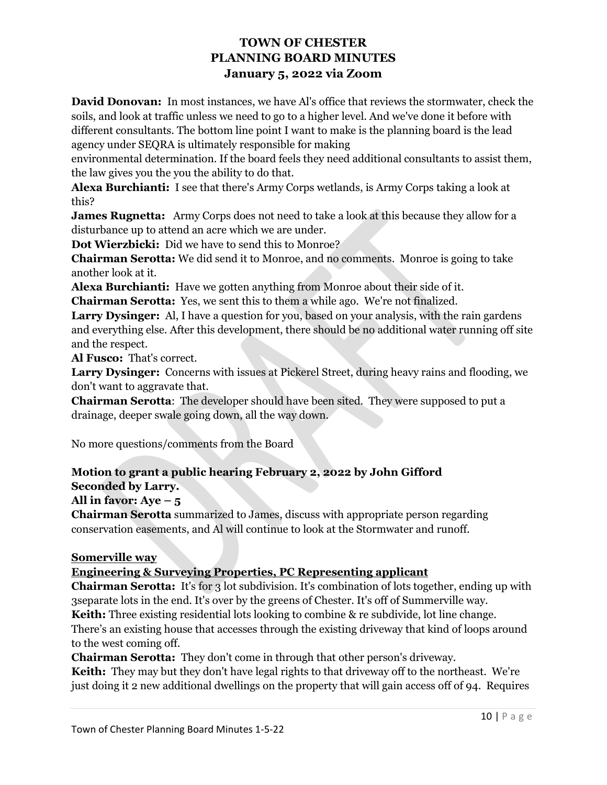**David Donovan:** In most instances, we have Al's office that reviews the stormwater, check the soils, and look at traffic unless we need to go to a higher level. And we've done it before with different consultants. The bottom line point I want to make is the planning board is the lead agency under SEQRA is ultimately responsible for making

environmental determination. If the board feels they need additional consultants to assist them, the law gives you the you the ability to do that.

**Alexa Burchianti:** I see that there's Army Corps wetlands, is Army Corps taking a look at this?

**James Rugnetta:** Army Corps does not need to take a look at this because they allow for a disturbance up to attend an acre which we are under.

**Dot Wierzbicki:** Did we have to send this to Monroe?

**Chairman Serotta:** We did send it to Monroe, and no comments. Monroe is going to take another look at it.

**Alexa Burchianti:** Have we gotten anything from Monroe about their side of it.

**Chairman Serotta:** Yes, we sent this to them a while ago. We're not finalized.

**Larry Dysinger:** Al, I have a question for you, based on your analysis, with the rain gardens and everything else. After this development, there should be no additional water running off site and the respect.

**Al Fusco:** That's correct.

**Larry Dysinger:** Concerns with issues at Pickerel Street, during heavy rains and flooding, we don't want to aggravate that.

**Chairman Serotta**: The developer should have been sited. They were supposed to put a drainage, deeper swale going down, all the way down.

No more questions/comments from the Board

# **Motion to grant a public hearing February 2, 2022 by John Gifford Seconded by Larry.**

**All in favor: Aye – 5** 

**Chairman Serotta** summarized to James, discuss with appropriate person regarding conservation easements, and Al will continue to look at the Stormwater and runoff.

# **Somerville way**

# **Engineering & Surveying Properties, PC Representing applicant**

**Chairman Serotta:** It's for 3 lot subdivision. It's combination of lots together, ending up with 3separate lots in the end. It's over by the greens of Chester. It's off of Summerville way.

**Keith:** Three existing residential lots looking to combine & re subdivide, lot line change. There's an existing house that accesses through the existing driveway that kind of loops around to the west coming off.

**Chairman Serotta:** They don't come in through that other person's driveway.

**Keith:** They may but they don't have legal rights to that driveway off to the northeast. We're just doing it 2 new additional dwellings on the property that will gain access off of 94. Requires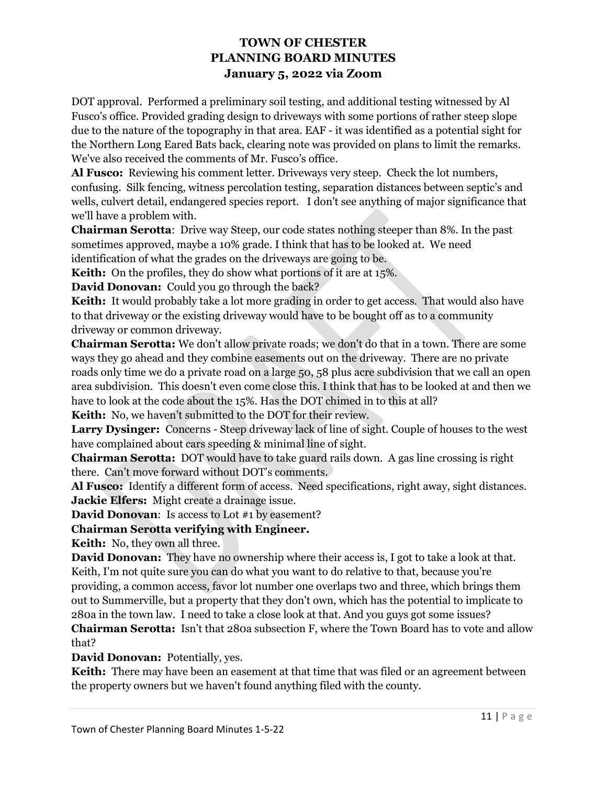DOT approval. Performed a preliminary soil testing, and additional testing witnessed by Al Fusco's office. Provided grading design to driveways with some portions of rather steep slope due to the nature of the topography in that area. EAF - it was identified as a potential sight for the Northern Long Eared Bats back, clearing note was provided on plans to limit the remarks. We've also received the comments of Mr. Fusco's office.

**Al Fusco:** Reviewing his comment letter. Driveways very steep. Check the lot numbers, confusing. Silk fencing, witness percolation testing, separation distances between septic's and wells, culvert detail, endangered species report. I don't see anything of major significance that we'll have a problem with.

**Chairman Serotta**: Drive way Steep, our code states nothing steeper than 8%. In the past sometimes approved, maybe a 10% grade. I think that has to be looked at. We need identification of what the grades on the driveways are going to be.

**Keith:** On the profiles, they do show what portions of it are at 15%.

**David Donovan:** Could you go through the back?

**Keith:** It would probably take a lot more grading in order to get access. That would also have to that driveway or the existing driveway would have to be bought off as to a community driveway or common driveway.

**Chairman Serotta:** We don't allow private roads; we don't do that in a town. There are some ways they go ahead and they combine easements out on the driveway. There are no private roads only time we do a private road on a large 50, 58 plus acre subdivision that we call an open area subdivision. This doesn't even come close this. I think that has to be looked at and then we have to look at the code about the 15%. Has the DOT chimed in to this at all?

**Keith:** No, we haven't submitted to the DOT for their review.

**Larry Dysinger:** Concerns - Steep driveway lack of line of sight. Couple of houses to the west have complained about cars speeding & minimal line of sight.

**Chairman Serotta:** DOT would have to take guard rails down. A gas line crossing is right there. Can't move forward without DOT's comments.

**Al Fusco:** Identify a different form of access. Need specifications, right away, sight distances. **Jackie Elfers:** Might create a drainage issue.

**David Donovan**: Is access to Lot #1 by easement?

# **Chairman Serotta verifying with Engineer.**

**Keith:** No, they own all three.

**David Donovan:** They have no ownership where their access is, I got to take a look at that. Keith, I'm not quite sure you can do what you want to do relative to that, because you're providing, a common access, favor lot number one overlaps two and three, which brings them out to Summerville, but a property that they don't own, which has the potential to implicate to 280a in the town law. I need to take a close look at that. And you guys got some issues?

**Chairman Serotta:** Isn't that 280a subsection F, where the Town Board has to vote and allow that?

**David Donovan:** Potentially, yes.

**Keith:** There may have been an easement at that time that was filed or an agreement between the property owners but we haven't found anything filed with the county.